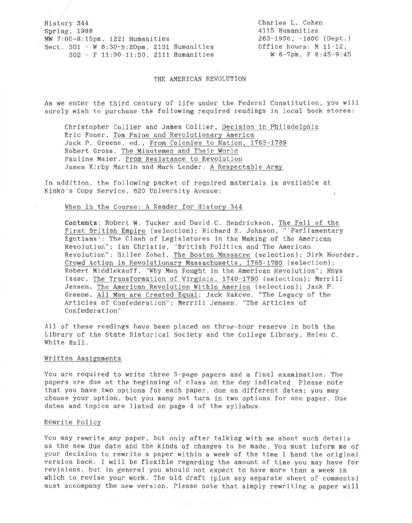History 344 Spring, 1988 MW 7:00-8:15pm, 1221 Humanities Sect. 301 - W 8:30-9:20pm, 2131 Humanities 302 - F 11:00-11:50, 2111 Humanities

Charles L. Cohen 4115 Humanities 263- 1956, - 1800 (Dept.) Office hours: *M* 11- 12.  $W$  6-7pm, F 8:45-9:45

THE AMERICAN REVOLUTION

As we enter the third century of life under the Federal Constitution, you will surely wish to purchase the following required readings in local book stores:

Christopher Collier and James Collier, Decision in Philadelphia Eric Foner, Tom Paine and Revolutionary America Jack P. Greene, ed., From Colonies to Nation, 1763-1789 Robert Gross, The Minutemen and Their World Pauline Maier, From Resistance to Revolution James Kirby Martin and Mark Lender, A Respectable Army

In addition, the following packet of required materials is available at Kinko's Copy Service, 620 University Avenue:

# When in the Course: A Reader for History 344

Contents : Robert W. Tucker and David C. Hendrickson, The Fall of the First British Empire (selection); Richard R. Johnson, "'Parliamentary Egotisms': The Clash of Legislatures in the Making of the American Revolution"; Ian Christie, "British Politics and The American Revolution"; Hiller Zobel, The Boston Massacre (selection); Dirk Hoerder, Crowd Action in Revolutionary Massachusetts, 1765-178Q (selection); Robert Middlekauff, "Why Men Fought in the American Revolution"; Rhys Isaac, The Transformation of Virginia, 1740-1790 (selection); Merrill Jensen, The American Revolution Within America (selection); Jack P. Greene, All Men are Created Equal; Jack Rakove, "The Legacy of the Articles of Confederation''; Merrill Jensen, "The Articles of Confederation"

All of these readings have been placed on three-hour reserve in both the Library of the State Historical Society and the College Library, Helen C. White Hall.

## Written Assignments

You are required to write three 5-page papers and a final examination. The papers are due at the beginning of class on the day indicated. Please note that you have two options for each paper, due on different dates; you may choose your option, but you many not turn in two options for one paper. Due dates and topics are listed on page 4 of the syllabus.

#### Rewrite Policy

You may rewrite any paper, but only after talking with me about such details as the new due date and the kinds of changes to be made. You must inform me of your decision to rewrite a paper within a week of the time I hand the original version back . I will be flexible regarding the amount of time you may have for revisions, but in general you should not expect to have more than a week in which to revise your work. The old draft (plus any separate sheet of comments) must accompany the new version. Please note that simply rewriting a paper will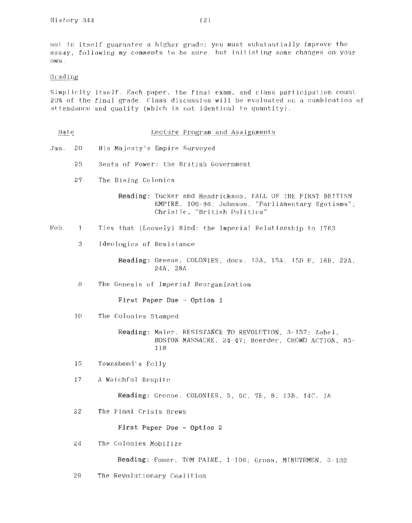not in itself guarantee a higher grade; you must substantially improve the essay, following my comments to be sure, but initiating some changes on your own.

# Grading

Simplicity itself. Each paper, the final exam, and class participation count 20% of the final grade. Class discussion will be evaluated on a combination of attendance and quality (which is not identical to quantity).

- Date Lecture Program and Assignments
- Jan. 20 His Majesty's Empire Surveyed
	- 25 Seats of Power: the British Government
	- 27 The Rising Colonies

Reading: Tucker and Hendrickson, FALL OF THE FIRST BRITISH EMPIRE, 106- 86; Johnson, "Parliamentary Egotisms"; Christie, "British Politics"

- Feb. 1 Ties that (Loosely) Bind: the Imperial Relationship to 1763
	- 3 Ideologies of Resistance

Reading: Greene, COLONIES, docs. 13A, 15A, 15D F, 16B, 22A, 24A, 28A

8 The Genesis of Imperial Reorganization

First Paper Due - Option 1

10 The Colonies Stamped

Reading: Maier, RESISTANCE TO REVOLUTION, 3- 157; Zobel, BOSTON MASSACRE, 24- 47; Hoerder, CROWD ACTION, 85- 118

- 15 Townshend's Folly
- 17 A Watchful Respite

Reading: Greene, COLONIES, 5, 6C, 7E, 8, 13B, 14C, 18

22 The Final Crisis Brews

First Paper Due - Option 2

24 The Colonies Mobilize

Reading: Foner, TOM PAINE, 1-106; Gross, MINUTEMEN, 3-132

29 The Revolutionary Coalition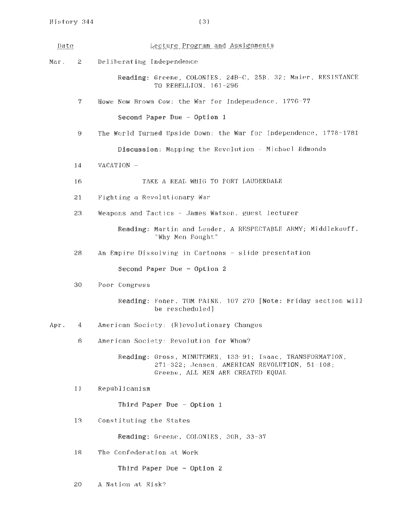| Date |        | Lecture Program and Assignments                                                                                                                 |
|------|--------|-------------------------------------------------------------------------------------------------------------------------------------------------|
| Маг. | $^{2}$ | Deliberating Independence                                                                                                                       |
|      |        | Reading: Greene, COLONIES, 24B-C, 25B, 32; Maier, RESISTANCE<br>TO REBELLION, 161-296                                                           |
|      | 7.     | Howe Now Brown Cow: the War for Independence, 1776-77                                                                                           |
|      |        | Second Paper Due - Option 1                                                                                                                     |
|      | 9      | The World Turned Upside Down: the War for Independence, 1778-1781                                                                               |
|      |        | Discussion: Mapping the Revolution - Michael Edmonds                                                                                            |
|      | 14     | VACATION -                                                                                                                                      |
|      | 16     | TAKE A REAL WHIG TO FORT LAUDERDALE                                                                                                             |
|      | 21     | Fighting a Revolutionary War                                                                                                                    |
|      | 23     | Weapons and Tactics - James Watson, guest lecturer                                                                                              |
|      |        | Reading: Martin and Lender, A RESPECTABLE ARMY; Middlekauff.<br>"Why Men Fought"                                                                |
|      | 28     | An Empire Dissolving in Cartoons - slide presentation                                                                                           |
|      |        | Second Paper Due - Option 2                                                                                                                     |
|      | 30     | Poor Congress                                                                                                                                   |
|      |        | Reading: Foner, TOM PAINE, 107 270 [Note: Friday section will<br>be rescheduled]                                                                |
| Apr. | 4      | American Society: (R)evolutionary Changes                                                                                                       |
|      | 6      | American Society: Revolution for Whom?                                                                                                          |
|      |        | Reading: Gross, MINUTEMEN, 133.91; Isaac, TRANSFORMATION,<br>271-322; Jensen, AMERICAN REVOLUTION, 51-108;<br>Greene, ALL MEN ARE CREATED EQUAL |
|      | 11     | Republicanism                                                                                                                                   |
|      |        | Third Paper Due - Option 1                                                                                                                      |
|      | 13.    | Constituting the States                                                                                                                         |
|      |        | Reading: Greene, COLONIES, 30B, 33-37                                                                                                           |
|      | 18     | The Confederation at Work                                                                                                                       |
|      |        | Third Paper Due - Option 2                                                                                                                      |
|      | 20     | A Nation at Risk?                                                                                                                               |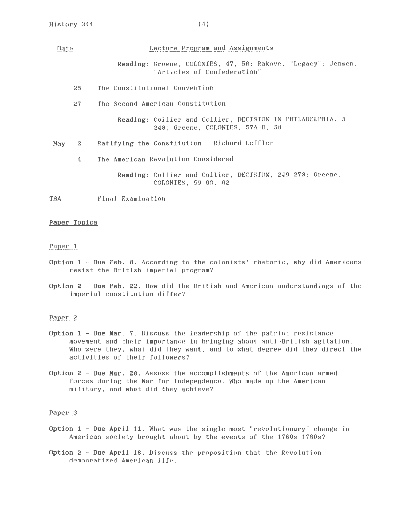# Lecture Program and Assignments Date Reading: Greene, COLONIES, 47, 56; Rakove, "Legacy"; Jensen, "Articles of Confederation" 25 The Constitutional Convention 27 The Second American Constitution Reading: Collier and Collier, DECISION IN PHILADELPHIA, 3- 248; Greene, COLONIES, 57A-B, 58 May 2 Ratifying the Constitution - Richard Leffler 4 The American Revolution Considered Reading: Collier and Collier, DECISION, 249-273; Greene, COLONIES, 59-60, 62 TBA Final Examination

Paper Topics

# Paper 1

- Option 1 Due Feb. 8. According to the colonists' rhetoric, why did Americans resist the British imperial program?
- Option 2 -Due Feb. 22. How *did* the British and American understandings of the imperial constitution differ?

# Paper 2

- Option 1 -Due Mar. 7. Discuss the leadership of the patriot resistance movement and their importance in bringing about anti-British agitation. Who were they, what did they want, and to what degree did they direct the activities of their followers?
- Option 2 Due Mar. 28. Assess the accomplishments of the American armed forces during the War for Independence. Who made up the American military, and what did they achieve?

## Paper 3

- Option  $1$  Due April 11. What was the single most "revolutionary" change in American society brought about by the events of the 1760s-1780s?
- Option 2 Due April 18. Discuss the proposition that the Revolution democratized American life.